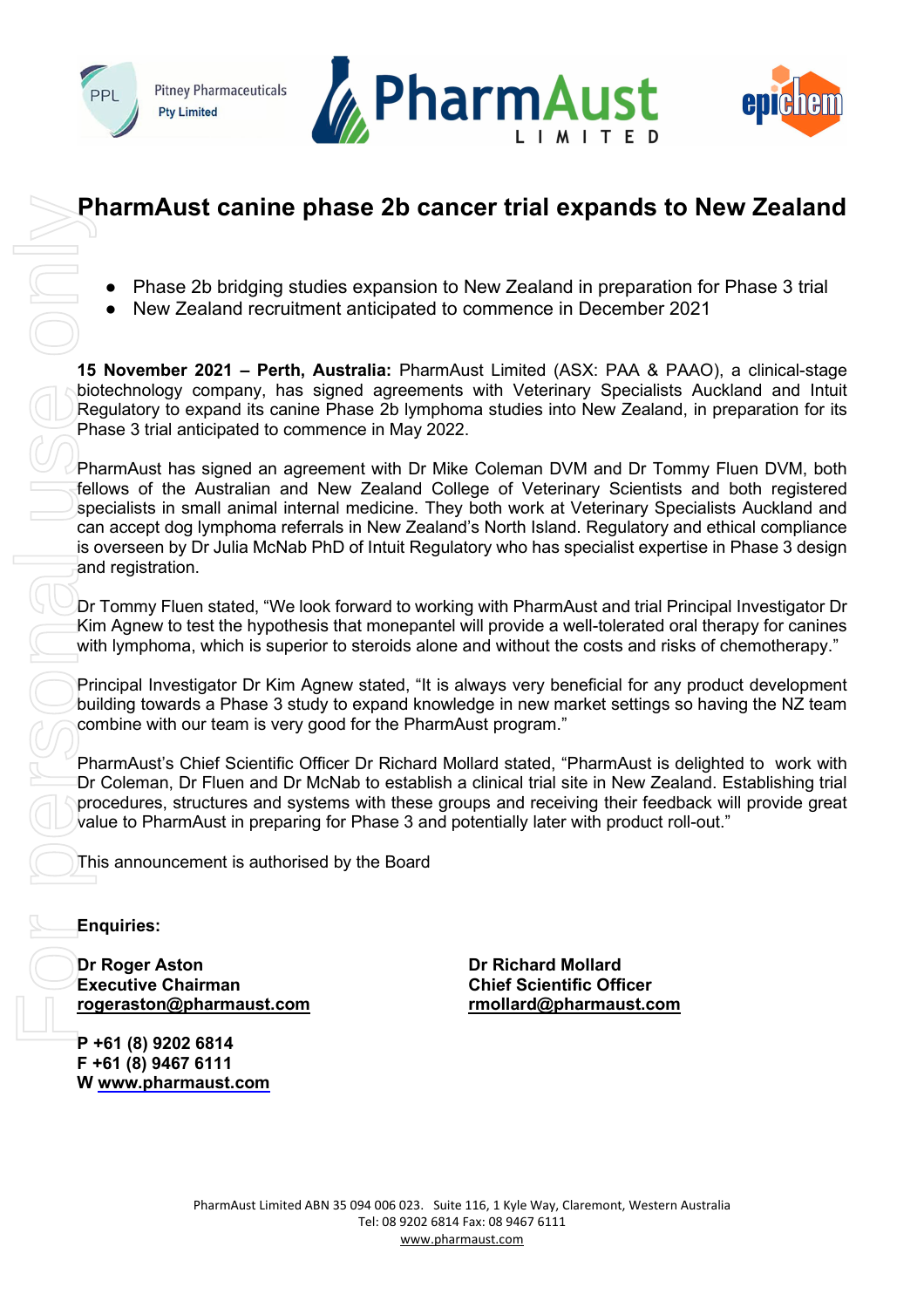





# **PharmAust canine phase 2b cancer trial expands to New Zealand**

- Phase 2b bridging studies expansion to New Zealand in preparation for Phase 3 trial
- New Zealand recruitment anticipated to commence in December 2021

**15 November 2021 – Perth, Australia:** PharmAust Limited (ASX: PAA & PAAO), a clinical-stage biotechnology company, has signed agreements with Veterinary Specialists Auckland and Intuit Regulatory to expand its canine Phase 2b lymphoma studies into New Zealand, in preparation for its Phase 3 trial anticipated to commence in May 2022.

PharmAust has signed an agreement with Dr Mike Coleman DVM and Dr Tommy Fluen DVM, both fellows of the Australian and New Zealand College of Veterinary Scientists and both registered specialists in small animal internal medicine. They both work at Veterinary Specialists Auckland and can accept dog lymphoma referrals in New Zealand's North Island. Regulatory and ethical compliance is overseen by Dr Julia McNab PhD of Intuit Regulatory who has specialist expertise in Phase 3 design and registration.

Dr Tommy Fluen stated, "We look forward to working with PharmAust and trial Principal Investigator Dr Kim Agnew to test the hypothesis that monepantel will provide a well-tolerated oral therapy for canines with lymphoma, which is superior to steroids alone and without the costs and risks of chemotherapy."

Principal Investigator Dr Kim Agnew stated, "It is always very beneficial for any product development building towards a Phase 3 study to expand knowledge in new market settings so having the NZ team combine with our team is very good for the PharmAust program."

PharmAust's Chief Scientific Officer Dr Richard Mollard stated, "PharmAust is delighted to work with Dr Coleman, Dr Fluen and Dr McNab to establish a clinical trial site in New Zealand. Establishing trial procedures, structures and systems with these groups and receiving their feedback will provide great value to PharmAust in preparing for Phase 3 and potentially later with product roll-out."

This announcement is authorised by the Board

## **Enquiries:**

**Dr Roger Aston Dr Richard Mollard Executive Chairman Chief Scientific Officer [rogeraston@pharmaust.com](mailto:rogeraston@pharmaust.com) [rmollard@pharmaust.com](mailto:rmollard@pharmaust.com)** 

**P +61 (8) 9202 6814 F +61 (8) 9467 6111**